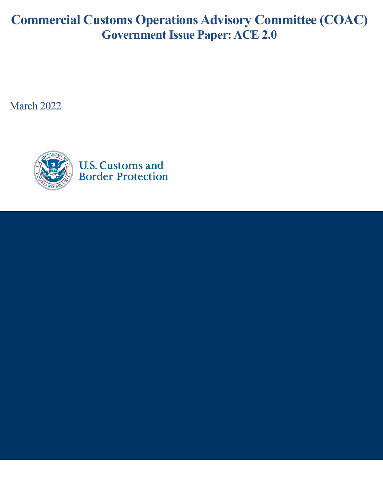# **Commercial Customs Operations Advisory Committee (COAC) Government Issue Paper:ACE 2.0**

March 2022

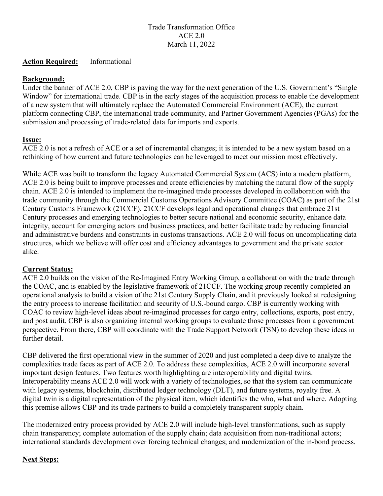## Trade Transformation Office ACE 2.0 March 11, 2022

#### **Action Required:** Informational

### **Background:**

Under the banner of ACE 2.0, CBP is paving the way for the next generation of the U.S. Government's "Single Window" for international trade. CBP is in the early stages of the acquisition process to enable the development of a new system that will ultimately replace the Automated Commercial Environment (ACE), the current platform connecting CBP, the international trade community, and Partner Government Agencies (PGAs) for the submission and processing of trade-related data for imports and exports.

### **Issue:**

ACE 2.0 is not a refresh of ACE or a set of incremental changes; it is intended to be a new system based on a rethinking of how current and future technologies can be leveraged to meet our mission most effectively.

While ACE was built to transform the legacy Automated Commercial System (ACS) into a modern platform, ACE 2.0 is being built to improve processes and create efficiencies by matching the natural flow of the supply chain. ACE 2.0 is intended to implement the re-imagined trade processes developed in collaboration with the trade community through the Commercial Customs Operations Advisory Committee (COAC) as part of the 21st Century Customs Framework (21CCF). 21CCF develops legal and operational changes that embrace 21st Century processes and emerging technologies to better secure national and economic security, enhance data integrity, account for emerging actors and business practices, and better facilitate trade by reducing financial and administrative burdens and constraints in customs transactions. ACE 2.0 will focus on uncomplicating data structures, which we believe will offer cost and efficiency advantages to government and the private sector alike.

#### **Current Status:**

ACE 2.0 builds on the vision of the Re-Imagined Entry Working Group, a collaboration with the trade through the COAC, and is enabled by the legislative framework of 21CCF. The working group recently completed an operational analysis to build a vision of the 21st Century Supply Chain, and it previously looked at redesigning the entry process to increase facilitation and security of U.S.-bound cargo. CBP is currently working with COAC to review high-level ideas about re-imagined processes for cargo entry, collections, exports, post entry, and post audit. CBP is also organizing internal working groups to evaluate those processes from a government perspective. From there, CBP will coordinate with the Trade Support Network (TSN) to develop these ideas in further detail.

CBP delivered the first operational view in the summer of 2020 and just completed a deep dive to analyze the complexities trade faces as part of ACE 2.0. To address these complexities, ACE 2.0 will incorporate several important design features. Two features worth highlighting are interoperability and digital twins. Interoperability means ACE 2.0 will work with a variety of technologies, so that the system can communicate with legacy systems, blockchain, distributed ledger technology (DLT), and future systems, royalty free. A digital twin is a digital representation of the physical item, which identifies the who, what and where. Adopting this premise allows CBP and its trade partners to build a completely transparent supply chain.

The modernized entry process provided by ACE 2.0 will include high-level transformations, such as supply chain transparency; complete automation of the supply chain; data acquisition from non-traditional actors; international standards development over forcing technical changes; and modernization of the in-bond process.

## **Next Steps:**